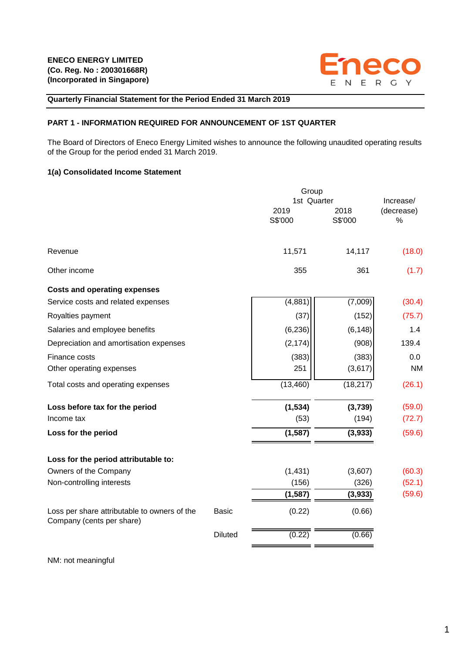

### **Quarterly Financial Statement for the Period Ended 31 March 2019**

### **PART 1 - INFORMATION REQUIRED FOR ANNOUNCEMENT OF 1ST QUARTER**

The Board of Directors of Eneco Energy Limited wishes to announce the following unaudited operating results of the Group for the period ended 31 March 2019.

### **1(a) Consolidated Income Statement**

|                                                                           | Group<br>1st Quarter |                 |                 | Increase/          |  |
|---------------------------------------------------------------------------|----------------------|-----------------|-----------------|--------------------|--|
|                                                                           |                      | 2019<br>S\$'000 | 2018<br>S\$'000 | (decrease)<br>$\%$ |  |
| Revenue                                                                   |                      | 11,571          | 14,117          | (18.0)             |  |
| Other income                                                              |                      | 355             | 361             | (1.7)              |  |
| <b>Costs and operating expenses</b>                                       |                      |                 |                 |                    |  |
| Service costs and related expenses                                        |                      | (4,881)         | (7,009)         | (30.4)             |  |
| Royalties payment                                                         |                      | (37)            | (152)           | (75.7)             |  |
| Salaries and employee benefits                                            |                      | (6, 236)        | (6, 148)        | 1.4                |  |
| Depreciation and amortisation expenses                                    |                      | (2, 174)        | (908)           | 139.4              |  |
| Finance costs                                                             |                      | (383)           | (383)           | 0.0                |  |
| Other operating expenses                                                  |                      | 251             | (3,617)         | <b>NM</b>          |  |
| Total costs and operating expenses                                        |                      | (13, 460)       | (18, 217)       | (26.1)             |  |
| Loss before tax for the period                                            |                      | (1, 534)        | (3,739)         | (59.0)             |  |
| Income tax                                                                |                      | (53)            | (194)           | (72.7)             |  |
| Loss for the period                                                       |                      | (1, 587)        | (3,933)         | (59.6)             |  |
| Loss for the period attributable to:                                      |                      |                 |                 |                    |  |
| Owners of the Company                                                     |                      | (1, 431)        | (3,607)         | (60.3)             |  |
| Non-controlling interests                                                 |                      | (156)           | (326)           | (52.1)             |  |
|                                                                           |                      | (1, 587)        | (3,933)         | (59.6)             |  |
| Loss per share attributable to owners of the<br>Company (cents per share) | <b>Basic</b>         | (0.22)          | (0.66)          |                    |  |
|                                                                           | <b>Diluted</b>       | (0.22)          | (0.66)          |                    |  |

NM: not meaningful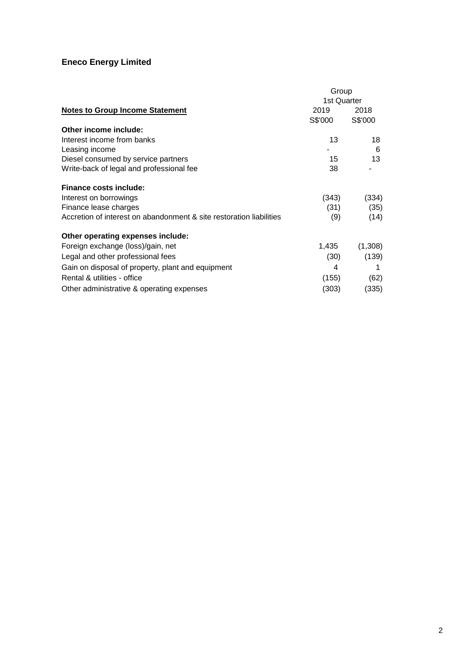|                                                                     | Group       |         |
|---------------------------------------------------------------------|-------------|---------|
|                                                                     | 1st Quarter |         |
| <b>Notes to Group Income Statement</b>                              | 2019        | 2018    |
|                                                                     | S\$'000     | S\$'000 |
| Other income include:                                               |             |         |
| Interest income from banks                                          | 13          | 18      |
| Leasing income                                                      |             | 6       |
| Diesel consumed by service partners                                 | 15          | 13      |
| Write-back of legal and professional fee                            | 38          |         |
| Finance costs include:                                              |             |         |
| Interest on borrowings                                              | (343)       | (334)   |
| Finance lease charges                                               | (31)        | (35)    |
| Accretion of interest on abandonment & site restoration liabilities | (9)         | (14)    |
| Other operating expenses include:                                   |             |         |
| Foreign exchange (loss)/gain, net                                   | 1,435       | (1,308) |
| Legal and other professional fees                                   | (30)        | (139)   |
| Gain on disposal of property, plant and equipment                   | 4           |         |
| Rental & utilities - office                                         | (155)       | (62)    |
| Other administrative & operating expenses                           | (303)       | (335)   |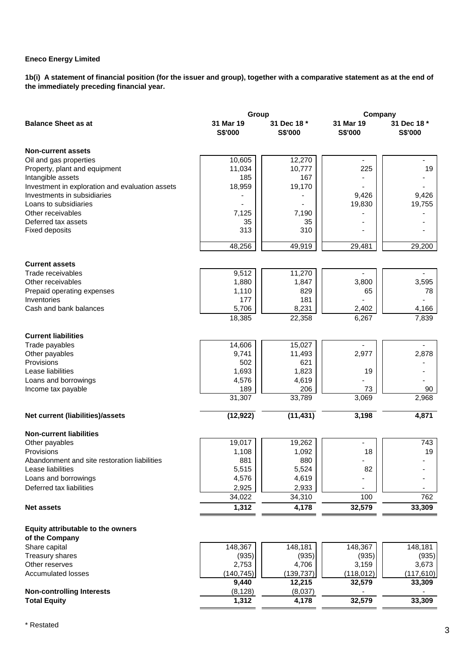**1b(i) A statement of financial position (for the issuer and group), together with a comparative statement as at the end of the immediately preceding financial year.**

|                                                 | Group                       |                        | Company              |                        |  |  |
|-------------------------------------------------|-----------------------------|------------------------|----------------------|------------------------|--|--|
| <b>Balance Sheet as at</b>                      | 31 Mar 19<br><b>S\$'000</b> | 31 Dec 18 *<br>S\$'000 | 31 Mar 19<br>S\$'000 | 31 Dec 18 *<br>S\$'000 |  |  |
| <b>Non-current assets</b>                       |                             |                        |                      |                        |  |  |
| Oil and gas properties                          | 10,605                      | 12,270                 | $\blacksquare$       |                        |  |  |
| Property, plant and equipment                   | 11,034                      | 10,777                 | 225                  | 19                     |  |  |
| Intangible assets                               | 185                         | 167                    |                      |                        |  |  |
| Investment in exploration and evaluation assets | 18,959                      | 19,170                 |                      |                        |  |  |
| Investments in subsidiaries                     |                             |                        | 9,426                | 9,426                  |  |  |
| Loans to subsidiaries                           |                             |                        | 19,830               | 19,755                 |  |  |
| Other receivables                               | 7,125                       | 7,190                  |                      |                        |  |  |
| Deferred tax assets                             | 35                          | 35                     |                      |                        |  |  |
| <b>Fixed deposits</b>                           | 313                         | 310                    |                      |                        |  |  |
|                                                 | 48,256                      | 49,919                 | 29,481               | 29,200                 |  |  |
| <b>Current assets</b>                           |                             |                        |                      |                        |  |  |
| Trade receivables                               | 9,512                       | 11,270                 |                      |                        |  |  |
| Other receivables                               | 1,880                       | 1,847                  | 3,800                | 3,595                  |  |  |
| Prepaid operating expenses                      | 1,110                       | 829                    | 65                   | 78                     |  |  |
| Inventories                                     | 177                         | 181                    |                      |                        |  |  |
| Cash and bank balances                          | 5,706                       | 8,231                  | 2,402                | 4,166                  |  |  |
|                                                 | 18,385                      | 22,358                 | 6,267                | 7,839                  |  |  |
| <b>Current liabilities</b>                      |                             |                        |                      |                        |  |  |
| Trade payables                                  | 14,606                      | 15,027                 |                      |                        |  |  |
| Other payables                                  | 9,741                       | 11,493                 | 2,977                | 2,878                  |  |  |
| Provisions                                      | 502                         | 621                    |                      |                        |  |  |
| Lease liabilities                               | 1,693                       | 1,823                  | 19                   |                        |  |  |
| Loans and borrowings                            | 4,576                       | 4,619                  |                      |                        |  |  |
| Income tax payable                              | 189                         | 206                    | 73                   | 90                     |  |  |
|                                                 | 31,307                      | 33,789                 | 3,069                | 2,968                  |  |  |
| Net current (liabilities)/assets                | (12, 922)                   | (11, 431)              | 3,198                | 4,871                  |  |  |
| <b>Non-current liabilities</b>                  |                             |                        |                      |                        |  |  |
| Other payables                                  | 19,017                      | 19,262                 |                      | 743                    |  |  |
| Provisions                                      | 1,108                       | 1,092                  | 18                   | 19                     |  |  |
| Abandonment and site restoration liabilities    | 881                         | 880                    |                      |                        |  |  |
| Lease liabilities                               | 5,515                       | 5,524                  | 82                   |                        |  |  |
| Loans and borrowings                            | 4,576                       | 4,619                  |                      |                        |  |  |
| Deferred tax liabilities                        | 2,925                       | 2,933                  |                      |                        |  |  |
|                                                 | 34,022                      | 34,310                 | 100                  | 762                    |  |  |
| <b>Net assets</b>                               | 1,312                       | 4,178                  | 32,579               | 33,309                 |  |  |
| Equity attributable to the owners               |                             |                        |                      |                        |  |  |
| of the Company                                  |                             |                        |                      |                        |  |  |
| Share capital                                   | 148,367                     | 148,181                | 148,367              | 148,181                |  |  |
| Treasury shares                                 | (935)                       | (935)                  | (935)                | (935)                  |  |  |
| Other reserves                                  | 2,753                       | 4,706                  | 3,159                | 3,673                  |  |  |
| <b>Accumulated losses</b>                       | (140, 745)                  | (139, 737)             | (118, 012)           | (117, 610)             |  |  |
|                                                 | 9,440                       | 12,215                 | 32,579               | 33,309                 |  |  |
| <b>Non-controlling Interests</b>                | (8, 128)                    | (8,037)                |                      |                        |  |  |
| <b>Total Equity</b>                             | 1,312                       | 4,178                  | 32,579               | 33,309                 |  |  |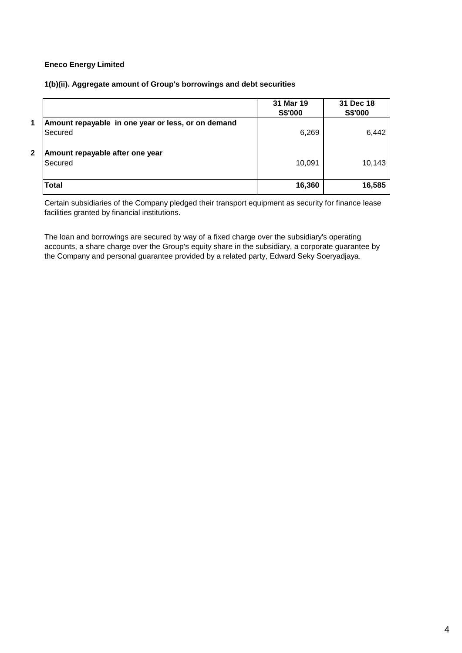### **1(b)(ii). Aggregate amount of Group's borrowings and debt securities**

|              |                                                               | 31 Mar 19<br>S\$'000 | 31 Dec 18<br>S\$'000 |
|--------------|---------------------------------------------------------------|----------------------|----------------------|
| 1            | Amount repayable in one year or less, or on demand<br>Secured | 6,269                | 6,442                |
| $\mathbf{2}$ | Amount repayable after one year<br>Secured                    | 10,091               | 10,143               |
|              | <b>Total</b>                                                  | 16,360               | 16,585               |

Certain subsidiaries of the Company pledged their transport equipment as security for finance lease facilities granted by financial institutions.

The loan and borrowings are secured by way of a fixed charge over the subsidiary's operating accounts, a share charge over the Group's equity share in the subsidiary, a corporate guarantee by the Company and personal guarantee provided by a related party, Edward Seky Soeryadjaya.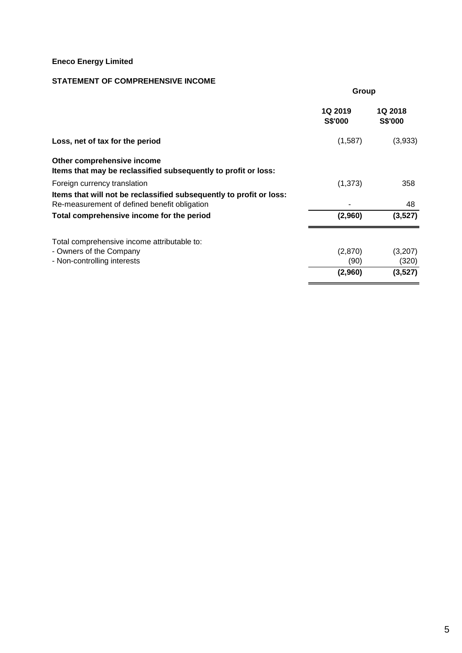## **STATEMENT OF COMPREHENSIVE INCOME**

|                                                                                                                     | Group              |                                  |  |  |
|---------------------------------------------------------------------------------------------------------------------|--------------------|----------------------------------|--|--|
|                                                                                                                     | 1Q 2019<br>S\$'000 | <b>1Q 2018</b><br><b>S\$'000</b> |  |  |
| Loss, net of tax for the period                                                                                     | (1,587)            | (3,933)                          |  |  |
| Other comprehensive income<br>Items that may be reclassified subsequently to profit or loss:                        |                    |                                  |  |  |
| Foreign currency translation                                                                                        | (1, 373)           | 358                              |  |  |
| Items that will not be reclassified subsequently to profit or loss:<br>Re-measurement of defined benefit obligation |                    | 48                               |  |  |
| Total comprehensive income for the period                                                                           | (2,960)            | (3,527)                          |  |  |
| Total comprehensive income attributable to:                                                                         |                    |                                  |  |  |
| - Owners of the Company                                                                                             | (2,870)            | (3,207)                          |  |  |
| - Non-controlling interests                                                                                         | (90)               | (320)                            |  |  |
|                                                                                                                     | (2,960)            | (3,527)                          |  |  |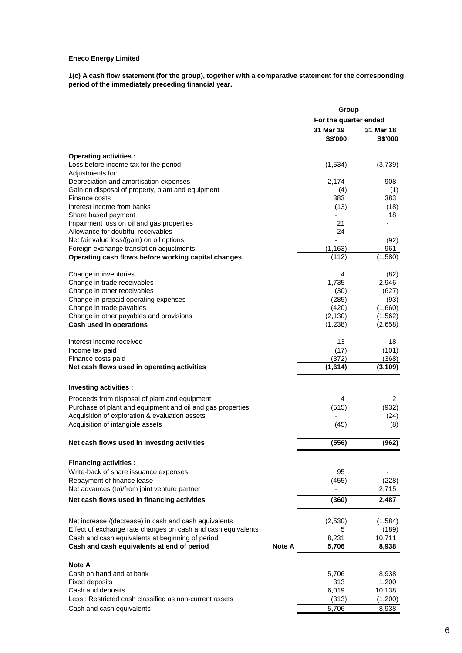**1(c) A cash flow statement (for the group), together with a comparative statement for the corresponding period of the immediately preceding financial year.**

|                                                                     |               | Group                 |                     |  |  |
|---------------------------------------------------------------------|---------------|-----------------------|---------------------|--|--|
|                                                                     |               | For the quarter ended |                     |  |  |
|                                                                     |               | 31 Mar 19             | 31 Mar 18           |  |  |
|                                                                     |               | <b>S\$'000</b>        | <b>S\$'000</b>      |  |  |
| <b>Operating activities:</b>                                        |               |                       |                     |  |  |
| Loss before income tax for the period                               |               | (1,534)               | (3,739)             |  |  |
| Adjustments for:                                                    |               |                       |                     |  |  |
| Depreciation and amortisation expenses                              |               | 2,174                 | 908                 |  |  |
| Gain on disposal of property, plant and equipment                   |               | (4)                   | (1)                 |  |  |
| Finance costs                                                       |               | 383                   | 383                 |  |  |
| Interest income from banks                                          |               | (13)                  | (18)                |  |  |
| Share based payment                                                 |               | ÷.                    | 18                  |  |  |
| Impairment loss on oil and gas properties                           |               | 21                    |                     |  |  |
| Allowance for doubtful receivables                                  |               | 24                    |                     |  |  |
| Net fair value loss/(gain) on oil options                           |               | ÷,                    | (92)                |  |  |
| Foreign exchange translation adjustments                            |               | (1, 163)              | 961                 |  |  |
| Operating cash flows before working capital changes                 |               | (112)                 | (1,580)             |  |  |
| Change in inventories                                               |               | 4                     | (82)                |  |  |
| Change in trade receivables                                         |               | 1,735                 | 2,946               |  |  |
| Change in other receivables                                         |               | (30)                  | (627)               |  |  |
| Change in prepaid operating expenses                                |               | (285)                 | (93)                |  |  |
| Change in trade payables<br>Change in other payables and provisions |               | (420)<br>(2, 130)     | (1,660)<br>(1, 562) |  |  |
| Cash used in operations                                             |               | (1,238)               | (2,658)             |  |  |
|                                                                     |               |                       |                     |  |  |
| Interest income received                                            |               | 13                    | 18                  |  |  |
| Income tax paid                                                     |               | (17)                  | (101)               |  |  |
| Finance costs paid                                                  |               | (372)                 | (368)               |  |  |
| Net cash flows used in operating activities                         |               | (1,614)               | (3, 109)            |  |  |
| Investing activities :                                              |               |                       |                     |  |  |
| Proceeds from disposal of plant and equipment                       |               | 4                     | 2                   |  |  |
| Purchase of plant and equipment and oil and gas properties          |               | (515)                 | (932)               |  |  |
| Acquisition of exploration & evaluation assets                      |               |                       | (24)                |  |  |
| Acquisition of intangible assets                                    |               | (45)                  | (8)                 |  |  |
|                                                                     |               |                       |                     |  |  |
| Net cash flows used in investing activities                         |               | (556)                 | (962)               |  |  |
| <b>Financing activities:</b>                                        |               |                       |                     |  |  |
| Write-back of share issuance expenses                               |               | 95                    |                     |  |  |
| Repayment of finance lease                                          |               | (455)                 | (228)               |  |  |
| Net advances (to)/from joint venture partner                        |               |                       | 2,715               |  |  |
| Net cash flows used in financing activities                         |               | (360)                 | 2,487               |  |  |
| Net increase /(decrease) in cash and cash equivalents               |               | (2,530)               | (1,584)             |  |  |
| Effect of exchange rate changes on cash and cash equivalents        |               | 5                     | (189)               |  |  |
| Cash and cash equivalents at beginning of period                    |               | 8,231                 | 10,711              |  |  |
| Cash and cash equivalents at end of period                          | <b>Note A</b> | 5,706                 | 8,938               |  |  |
| Note A                                                              |               |                       |                     |  |  |
| Cash on hand and at bank                                            |               | 5,706                 | 8,938               |  |  |
| <b>Fixed deposits</b>                                               |               | 313                   | 1,200               |  |  |
| Cash and deposits                                                   |               | 6,019                 | 10,138              |  |  |
| Less: Restricted cash classified as non-current assets              |               | (313)                 | (1,200)             |  |  |
| Cash and cash equivalents                                           |               | 5,706                 | 8,938               |  |  |
|                                                                     |               |                       |                     |  |  |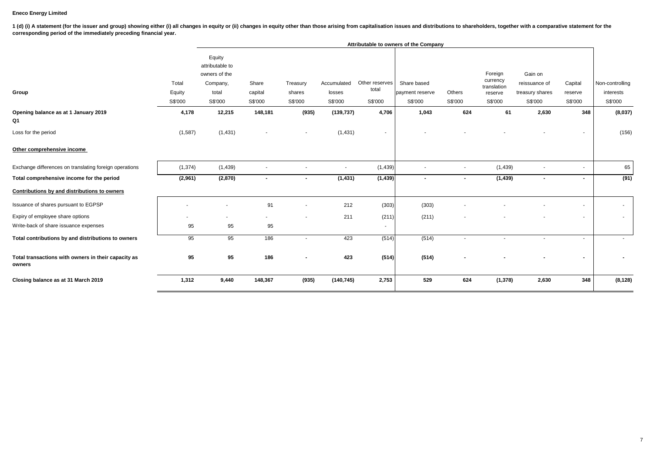1 (d) (i) A statement (for the issuer and group) showing either (i) all changes in equity or (ii) changes in equity or the than those arising from capitalisation issues and distributions to shareholders, together with a co **corresponding period of the immediately preceding financial year.**

|                                                               |                            | Attributable to owners of the Company                                      |                             |                               |                                  |                                    |                                           |                   |                                                          |                                                        |                               |                                         |
|---------------------------------------------------------------|----------------------------|----------------------------------------------------------------------------|-----------------------------|-------------------------------|----------------------------------|------------------------------------|-------------------------------------------|-------------------|----------------------------------------------------------|--------------------------------------------------------|-------------------------------|-----------------------------------------|
| Group                                                         | Total<br>Equity<br>S\$'000 | Equity<br>attributable to<br>owners of the<br>Company,<br>total<br>S\$'000 | Share<br>capital<br>S\$'000 | Treasury<br>shares<br>S\$'000 | Accumulated<br>losses<br>S\$'000 | Other reserves<br>total<br>S\$'000 | Share based<br>payment reserve<br>S\$'000 | Others<br>S\$'000 | Foreign<br>currency<br>translation<br>reserve<br>S\$'000 | Gain on<br>reissuance of<br>treasury shares<br>S\$'000 | Capital<br>reserve<br>S\$'000 | Non-controlling<br>interests<br>S\$'000 |
| Opening balance as at 1 January 2019                          | 4,178                      | 12,215                                                                     | 148,181                     | (935)                         | (139, 737)                       | 4,706                              | 1,043                                     | 624               | 61                                                       | 2,630                                                  | 348                           | (8,037)                                 |
| Q1                                                            |                            |                                                                            |                             |                               |                                  |                                    |                                           |                   |                                                          |                                                        |                               |                                         |
| Loss for the period                                           | (1, 587)                   | (1, 431)                                                                   | $\sim$                      | $\overline{\phantom{a}}$      | (1, 431)                         | $\sim$                             |                                           |                   |                                                          |                                                        |                               | (156)                                   |
| Other comprehensive income                                    |                            |                                                                            |                             |                               |                                  |                                    |                                           |                   |                                                          |                                                        |                               |                                         |
| Exchange differences on translating foreign operations        | (1, 374)                   | (1, 439)                                                                   |                             | $\overline{\phantom{a}}$      | $\overline{\phantom{a}}$         | (1,439)                            | $\sim$                                    | $\sim$            | (1, 439)                                                 | $\sim$                                                 | $\sim$                        | 65                                      |
| Total comprehensive income for the period                     | (2,961)                    | (2,870)                                                                    | $\blacksquare$              | $\blacksquare$                | (1, 431)                         | (1, 439)                           |                                           | $\blacksquare$    | (1, 439)                                                 |                                                        |                               | (91)                                    |
| Contributions by and distributions to owners                  |                            |                                                                            |                             |                               |                                  |                                    |                                           |                   |                                                          |                                                        |                               |                                         |
| Issuance of shares pursuant to EGPSP                          |                            |                                                                            | 91                          | ٠                             | 212                              | (303)                              | (303)                                     |                   |                                                          |                                                        |                               | $\sim$                                  |
| Expiry of employee share options                              |                            |                                                                            |                             | ٠                             | 211                              | (211)                              | (211)                                     |                   |                                                          |                                                        |                               | $\sim$                                  |
| Write-back of share issuance expenses                         | 95                         | 95                                                                         | 95                          |                               |                                  | $\sim$                             |                                           |                   |                                                          |                                                        |                               |                                         |
| Total contributions by and distributions to owners            | 95                         | 95                                                                         | 186                         | $\overline{\phantom{a}}$      | 423                              | (514)                              | (514)                                     |                   |                                                          |                                                        | ۰.                            |                                         |
| Total transactions with owners in their capacity as<br>owners | 95                         | 95                                                                         | 186                         | $\blacksquare$                | 423                              | (514)                              | (514)                                     |                   |                                                          |                                                        | $\blacksquare$                |                                         |
| Closing balance as at 31 March 2019                           | 1,312                      | 9,440                                                                      | 148,367                     | (935)                         | (140, 745)                       | 2,753                              | 529                                       | 624               | (1, 378)                                                 | 2,630                                                  | 348                           | (8, 128)                                |
|                                                               |                            |                                                                            |                             |                               |                                  |                                    |                                           |                   |                                                          |                                                        |                               |                                         |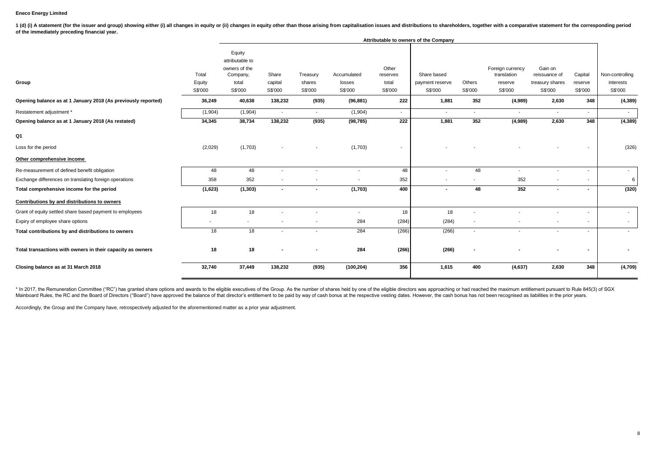1 (d) (i) A statement (for the issuer and group) showing either (i) all changes in equity or (ii) changes in equity other than those arising from capitalisation issues and distributions to shareholders, together with a com **of the immediately preceding financial year.**

|                                                               | Attributable to owners of the Company |                                                                            |                             |                               |                                  |                                       |                                           |                          |                                                       |                                                        |                               |                                         |
|---------------------------------------------------------------|---------------------------------------|----------------------------------------------------------------------------|-----------------------------|-------------------------------|----------------------------------|---------------------------------------|-------------------------------------------|--------------------------|-------------------------------------------------------|--------------------------------------------------------|-------------------------------|-----------------------------------------|
| Group                                                         | Total<br>Equity<br>S\$'000            | Equity<br>attributable to<br>owners of the<br>Company,<br>total<br>S\$'000 | Share<br>capital<br>S\$'000 | Treasury<br>shares<br>S\$'000 | Accumulated<br>losses<br>S\$'000 | Other<br>reserves<br>total<br>S\$'000 | Share based<br>payment reserve<br>S\$'000 | Others<br>S\$'000        | Foreign currency<br>translation<br>reserve<br>S\$'000 | Gain on<br>reissuance of<br>treasury shares<br>S\$'000 | Capital<br>reserve<br>S\$'000 | Non-controlling<br>interests<br>S\$'000 |
| Opening balance as at 1 January 2018 (As previously reported) | 36,249                                | 40,638                                                                     | 138,232                     | (935)                         | (96, 881)                        | 222                                   | 1,881                                     | 352                      | (4,989)                                               | 2,630                                                  | 348                           | (4, 389)                                |
| Restatement adjustment *                                      | (1,904)                               | (1,904)                                                                    | $\sim$                      | $\sim$                        | (1,904)                          | $\sim$                                | $\sim$                                    | $\overline{\phantom{a}}$ | $\sim$                                                | $\sim$                                                 | $\sim$                        | $\sim$                                  |
| Opening balance as at 1 January 2018 (As restated)            | 34,345                                | 38,734                                                                     | 138,232                     | (935)                         | (98, 785)                        | 222                                   | 1,881                                     | 352                      | (4,989)                                               | 2,630                                                  | 348                           | (4, 389)                                |
| Q1<br>Loss for the period                                     | (2,029)                               | (1,703)                                                                    |                             |                               | (1,703)                          | $\overline{\phantom{a}}$              |                                           |                          |                                                       |                                                        |                               | (326)                                   |
| Other comprehensive income                                    |                                       |                                                                            |                             |                               |                                  |                                       |                                           |                          |                                                       |                                                        |                               |                                         |
| Re-measurement of defined benefit obligation                  | 48                                    | 48                                                                         | $\overline{\phantom{a}}$    | ٠                             | $\overline{\phantom{a}}$         | 48                                    | $\sim$                                    | 48                       | $\overline{\phantom{a}}$                              | $\overline{\phantom{a}}$                               |                               | $\sim$                                  |
| Exchange differences on translating foreign operations        | 358                                   | 352                                                                        |                             | ٠                             | $\overline{\phantom{a}}$         | 352                                   | $\overline{\phantom{a}}$                  | $\blacksquare$           | 352                                                   | $\blacksquare$                                         | $\overline{\phantom{a}}$      | 6                                       |
| Total comprehensive income for the period                     | (1,623)                               | (1, 303)                                                                   | $\sim$                      | $\sim$                        | (1,703)                          | 400                                   | $\blacksquare$                            | 48                       | 352                                                   | $\overline{\phantom{a}}$                               |                               | (320)                                   |
| Contributions by and distributions to owners                  |                                       |                                                                            |                             |                               |                                  |                                       |                                           |                          |                                                       |                                                        |                               |                                         |
| Grant of equity settled share based payment to employees      | 18                                    | 18                                                                         |                             |                               | $\sim$                           | 18                                    | 18                                        | $\overline{\phantom{a}}$ |                                                       |                                                        |                               | $\sim$                                  |
| Expiry of employee share options                              |                                       | $\blacksquare$                                                             |                             | $\overline{\phantom{a}}$      | 284                              | (284)                                 | (284)                                     | $\overline{\phantom{a}}$ |                                                       |                                                        | $\overline{\phantom{a}}$      | $\sim$                                  |
| Total contributions by and distributions to owners            | 18                                    | 18                                                                         | $\overline{\phantom{a}}$    | $\overline{\phantom{a}}$      | 284                              | (266)                                 | (266)                                     | $\overline{\phantom{a}}$ |                                                       | $\overline{\phantom{a}}$                               | $\overline{\phantom{a}}$      | $\sim$                                  |
| Total transactions with owners in their capacity as owners    | 18                                    | 18                                                                         |                             |                               | 284                              | (266)                                 | (266)                                     |                          |                                                       |                                                        |                               |                                         |
| Closing balance as at 31 March 2018                           | 32,740                                | 37,449                                                                     | 138,232                     | (935)                         | (100, 204)                       | 356                                   | 1,615                                     | 400                      | (4,637)                                               | 2,630                                                  | 348                           | (4,709)                                 |

\* In 2017, the Remuneration Committee ("RC") has granted share options and awards to the eligible executives of the Group. As the number of shares held by one of the eligible directors was approaching or had reached the ma Mainboard Rules, the RC and the Board of Directors ("Board") have approved the balance of that director's entitlement to be paid by way of cash bonus at the respective vesting dates. However, the cash bonus has not been re

Accordingly, the Group and the Company have, retrospectively adjusted for the aforementioned matter as a prior year adjustment.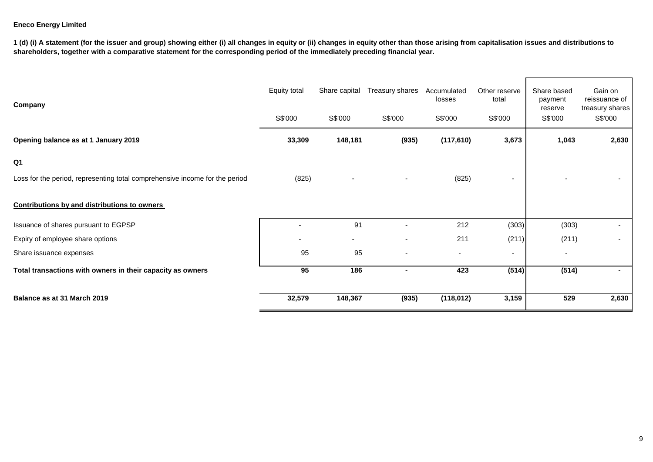**1 (d) (i) A statement (for the issuer and group) showing either (i) all changes in equity or (ii) changes in equity other than those arising from capitalisation issues and distributions to shareholders, together with a comparative statement for the corresponding period of the immediately preceding financial year.**

| Company                                                                     | Equity total<br>S\$'000 | Share capital<br>S\$'000 | Treasury shares<br>S\$'000 | Accumulated<br>losses<br>S\$'000 | Other reserve<br>total<br>S\$'000 | Share based<br>payment<br>reserve<br>S\$'000 | Gain on<br>reissuance of<br>treasury shares<br>S\$'000 |
|-----------------------------------------------------------------------------|-------------------------|--------------------------|----------------------------|----------------------------------|-----------------------------------|----------------------------------------------|--------------------------------------------------------|
| Opening balance as at 1 January 2019                                        | 33,309                  | 148,181                  | (935)                      | (117, 610)                       | 3,673                             | 1,043                                        | 2,630                                                  |
| Q <sub>1</sub>                                                              |                         |                          |                            |                                  |                                   |                                              |                                                        |
| Loss for the period, representing total comprehensive income for the period | (825)                   |                          |                            | (825)                            |                                   |                                              |                                                        |
| <b>Contributions by and distributions to owners</b>                         |                         |                          |                            |                                  |                                   |                                              |                                                        |
| Issuance of shares pursuant to EGPSP                                        |                         | 91                       |                            | 212                              | (303)                             | (303)                                        |                                                        |
| Expiry of employee share options                                            |                         |                          | ٠                          | 211                              | (211)                             | (211)                                        |                                                        |
| Share issuance expenses                                                     | 95                      | 95                       | ٠                          |                                  | $\overline{\phantom{a}}$          | $\overline{\phantom{a}}$                     |                                                        |
| Total transactions with owners in their capacity as owners                  | 95                      | 186                      | $\blacksquare$             | 423                              | (514)                             | (514)                                        |                                                        |
| Balance as at 31 March 2019                                                 | 32,579                  | 148,367                  | (935)                      | (118, 012)                       | 3,159                             | 529                                          | 2,630                                                  |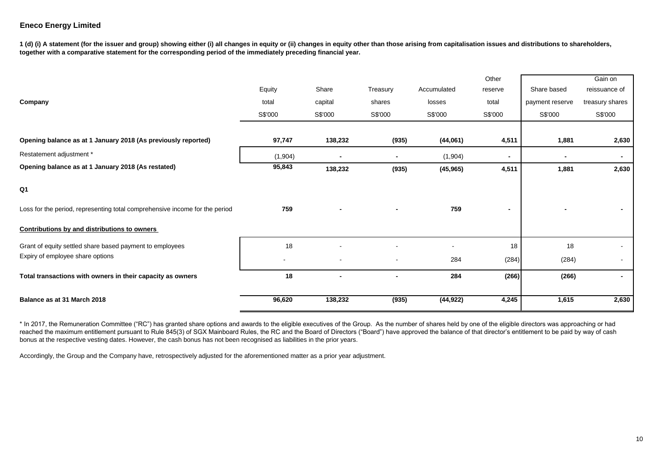**1 (d) (i) A statement (for the issuer and group) showing either (i) all changes in equity or (ii) changes in equity other than those arising from capitalisation issues and distributions to shareholders, together with a comparative statement for the corresponding period of the immediately preceding financial year.**

|                                                                             |         |         |                              |             | Other                    |                 | Gain on         |
|-----------------------------------------------------------------------------|---------|---------|------------------------------|-------------|--------------------------|-----------------|-----------------|
|                                                                             | Equity  | Share   | Treasury                     | Accumulated | reserve                  | Share based     | reissuance of   |
| Company                                                                     | total   | capital | shares                       | losses      | total                    | payment reserve | treasury shares |
|                                                                             | S\$'000 | S\$'000 | S\$'000                      | S\$'000     | S\$'000                  | S\$'000         | S\$'000         |
|                                                                             |         |         |                              |             |                          |                 |                 |
| Opening balance as at 1 January 2018 (As previously reported)               | 97,747  | 138,232 | (935)                        | (44,061)    | 4,511                    | 1,881           | 2,630           |
| Restatement adjustment *                                                    | (1,904) |         | ۰.                           | (1,904)     | $\overline{\phantom{a}}$ | $\blacksquare$  | $\sim$          |
| Opening balance as at 1 January 2018 (As restated)                          | 95,843  | 138,232 | (935)                        | (45, 965)   | 4,511                    | 1,881           | 2,630           |
| Q <sub>1</sub>                                                              |         |         |                              |             |                          |                 |                 |
| Loss for the period, representing total comprehensive income for the period | 759     |         | $\blacksquare$               | 759         | $\blacksquare$           |                 |                 |
| Contributions by and distributions to owners                                |         |         |                              |             |                          |                 |                 |
| Grant of equity settled share based payment to employees                    | 18      |         |                              |             | 18                       | 18              | $\sim$          |
| Expiry of employee share options                                            |         |         | $\qquad \qquad \blacksquare$ | 284         | (284)                    | (284)           | $\blacksquare$  |
| Total transactions with owners in their capacity as owners                  | 18      |         |                              | 284         | (266)                    | (266)           | $\blacksquare$  |
| Balance as at 31 March 2018                                                 | 96,620  | 138,232 | (935)                        | (44, 922)   | 4,245                    | 1,615           | 2,630           |
|                                                                             |         |         |                              |             |                          |                 |                 |

\* In 2017, the Remuneration Committee ("RC") has granted share options and awards to the eligible executives of the Group. As the number of shares held by one of the eligible directors was approaching or had reached the maximum entitlement pursuant to Rule 845(3) of SGX Mainboard Rules, the RC and the Board of Directors ("Board") have approved the balance of that director's entitlement to be paid by way of cash bonus at the respective vesting dates. However, the cash bonus has not been recognised as liabilities in the prior years.

Accordingly, the Group and the Company have, retrospectively adjusted for the aforementioned matter as a prior year adjustment.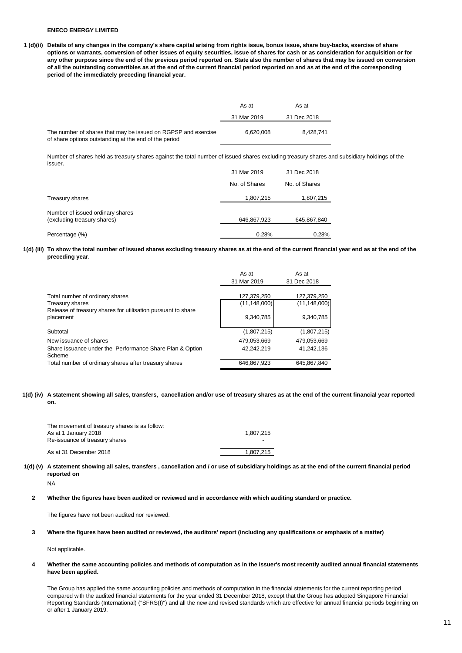**1 (d)(ii) Details of any changes in the company's share capital arising from rights issue, bonus issue, share buy-backs, exercise of share options or warrants, conversion of other issues of equity securities, issue of shares for cash or as consideration for acquisition or for any other purpose since the end of the previous period reported on. State also the number of shares that may be issued on conversion of all the outstanding convertibles as at the end of the current financial period reported on and as at the end of the corresponding period of the immediately preceding financial year.**

|                                                                                                                        | As at       | As at       |
|------------------------------------------------------------------------------------------------------------------------|-------------|-------------|
|                                                                                                                        | 31 Mar 2019 | 31 Dec 2018 |
| The number of shares that may be issued on RGPSP and exercise<br>of share options outstanding at the end of the period | 6.620.008   | 8.428.741   |

Number of shares held as treasury shares against the total number of issued shares excluding treasury shares and subsidiary holdings of the issuer.

|                                                                 | 31 Mar 2019   | 31 Dec 2018   |
|-----------------------------------------------------------------|---------------|---------------|
|                                                                 | No. of Shares | No. of Shares |
| Treasury shares                                                 | 1,807,215     | 1,807,215     |
| Number of issued ordinary shares<br>(excluding treasury shares) | 646,867,923   | 645,867,840   |
| Percentage (%)                                                  | 0.28%         | 0.28%         |

**1(d) (iii) To show the total number of issued shares excluding treasury shares as at the end of the current financial year end as at the end of the preceding year.**

|                                                                           | As at          | As at          |  |
|---------------------------------------------------------------------------|----------------|----------------|--|
|                                                                           | 31 Mar 2019    | 31 Dec 2018    |  |
| Total number of ordinary shares                                           | 127,379,250    | 127,379,250    |  |
| Treasury shares                                                           | (11, 148, 000) | (11, 148, 000) |  |
| Release of treasury shares for utilisation pursuant to share<br>placement | 9,340,785      | 9,340,785      |  |
| Subtotal                                                                  | (1,807,215)    | (1,807,215)    |  |
| New issuance of shares                                                    | 479,053,669    | 479,053,669    |  |
| Share issuance under the Performance Share Plan & Option<br>Scheme        | 42.242.219     | 41.242.136     |  |
| Total number of ordinary shares after treasury shares                     | 646,867,923    | 645,867,840    |  |

**1(d) (iv) A statement showing all sales, transfers, cancellation and/or use of treasury shares as at the end of the current financial year reported on.**

| The movement of treasury shares is as follow:<br>As at 1 January 2018<br>Re-issuance of treasury shares | 1.807.215<br>- |
|---------------------------------------------------------------------------------------------------------|----------------|
| As at 31 December 2018                                                                                  | 1.807.215      |

**1(d) (v) A statement showing all sales, transfers , cancellation and / or use of subsidiary holdings as at the end of the current financial period reported on**

NA

**2 Whether the figures have been audited or reviewed and in accordance with which auditing standard or practice.**

The figures have not been audited nor reviewed.

**3 Where the figures have been audited or reviewed, the auditors' report (including any qualifications or emphasis of a matter)**

Not applicable.

**4 Whether the same accounting policies and methods of computation as in the issuer's most recently audited annual financial statements have been applied.**

The Group has applied the same accounting policies and methods of computation in the financial statements for the current reporting period compared with the audited financial statements for the year ended 31 December 2018, except that the Group has adopted Singapore Financial Reporting Standards (International) ("SFRS(I)") and all the new and revised standards which are effective for annual financial periods beginning on or after 1 January 2019.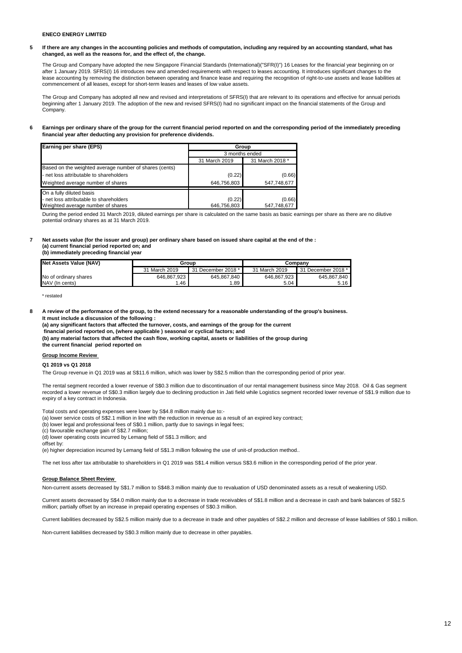#### **5 If there are any changes in the accounting policies and methods of computation, including any required by an accounting standard, what has changed, as well as the reasons for, and the effect of, the change.**

The Group and Company have adopted the new Singapore Financial Standards (International)("SFR(I)") 16 Leases for the financial year beginning on or after 1 January 2019. SFRS(I) 16 introduces new and amended requirements with respect to leases accounting. It introduces significant changes to the lease accounting by removing the distinction between operating and finance lease and requiring the recognition of right-to-use assets and lease liabilities at commencement of all leases, except for short-term leases and leases of low value assets.

The Group and Company has adopted all new and revised and interpretations of SFRS(I) that are relevant to its operations and effective for annual periods beginning after 1 January 2019. The adoption of the new and revised SFRS(I) had no significant impact on the financial statements of the Group and **Company** 

#### **6 Earnings per ordinary share of the group for the current financial period reported on and the corresponding period of the immediately preceding financial year after deducting any provision for preference dividends.**

| Earning per share (EPS)                                | Group          |                 |  |
|--------------------------------------------------------|----------------|-----------------|--|
|                                                        | 3 months ended |                 |  |
|                                                        | 31 March 2019  | 31 March 2018 * |  |
| Based on the weighted average number of shares (cents) |                |                 |  |
| - net loss attributable to shareholders                | (0.22)         | (0.66)          |  |
| Weighted average number of shares                      | 646.756.803    | 547.748.677     |  |
| On a fully diluted basis                               |                |                 |  |
| - net loss attributable to shareholders                | (0.22)         | (0.66)          |  |
| Weighted average number of shares                      | 646.756.803    | 547,748,677     |  |

During the period ended 31 March 2019, diluted earnings per share is calculated on the same basis as basic earnings per share as there are no dilutive potential ordinary shares as at 31 March 2019.

#### **7 Net assets value (for the issuer and group) per ordinary share based on issued share capital at the end of the : (a) current financial period reported on; and (b) immediately preceding financial year**

| <b>Net Assets Value (NAV)</b> | Group         |                    | Company       |                    |
|-------------------------------|---------------|--------------------|---------------|--------------------|
|                               | 31 March 2019 | 31 December 2018 * | 31 March 2019 | 31 December 2018 * |
| No of ordinary shares         | 646.867.923   | 645.867.840        | 646.867.923   | 645.867.840        |
| NAV (In cents)                | .46           | 89                 | 5.04          | 5.16               |

' restated

**8 A review of the performance of the group, to the extend necessary for a reasonable understanding of the group's business. It must include a discussion of the following : (a) any significant factors that affected the turnover, costs, and earnings of the group for the current financial period reported on, (where applicable ) seasonal or cyclical factors; and (b) any material factors that affected the cash flow, working capital, assets or liabilities of the group during the current financial period reported on** 

## **Group Income Review**

#### **Q1 2019 vs Q1 2018**

The Group revenue in Q1 2019 was at S\$11.6 million, which was lower by S\$2.5 million than the corresponding period of prior year.

The rental segment recorded a lower revenue of S\$0.3 million due to discontinuation of our rental management business since May 2018. Oil & Gas segment recorded a lower revenue of S\$0.3 million largely due to declining production in Jati field while Logistics segment recorded lower revenue of S\$1.9 million due to expiry of a key contract in Indonesia.

Total costs and operating expenses were lower by S\$4.8 million mainly due to:-

(a) lower service costs of S\$2.1 million in line with the reduction in revenue as a result of an expired key contract;

(b) lower legal and professional fees of S\$0.1 million, partly due to savings in legal fees;

(c) favourable exchange gain of S\$2.7 million;

(d) lower operating costs incurred by Lemang field of S\$1.3 million; and

offset by:

(e) higher depreciation incurred by Lemang field of S\$1.3 million following the use of unit-of production method..

The net loss after tax attributable to shareholders in Q1 2019 was S\$1.4 million versus S\$3.6 million in the corresponding period of the prior year.

### **Group Balance Sheet Review**

Non-current assets decreased by S\$1.7 million to S\$48.3 million mainly due to revaluation of USD denominated assets as a result of weakening USD.

Current assets decreased by S\$4.0 million mainly due to a decrease in trade receivables of S\$1.8 million and a decrease in cash and bank balances of S\$2.5 million; partially offset by an increase in prepaid operating expenses of S\$0.3 million.

Current liabilities decreased by S\$2.5 million mainly due to a decrease in trade and other payables of S\$2.2 million and decrease of lease liabilities of S\$0.1 million.

Non-current liabilities decreased by S\$0.3 million mainly due to decrease in other payables.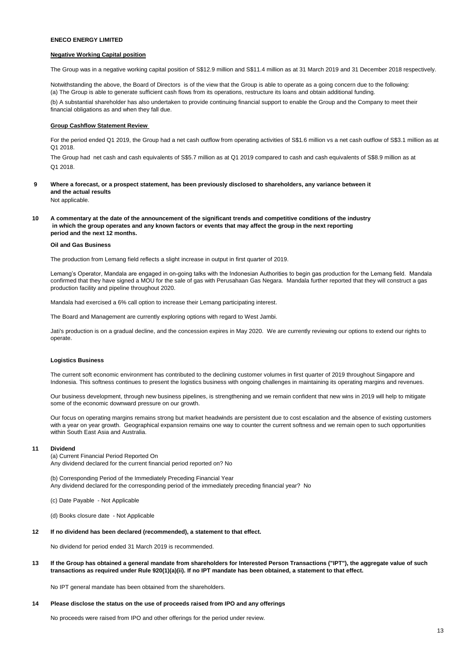#### **Negative Working Capital position**

The Group was in a negative working capital position of S\$12.9 million and S\$11.4 million as at 31 March 2019 and 31 December 2018 respectively.

Notwithstanding the above, the Board of Directors is of the view that the Group is able to operate as a going concern due to the following: (a) The Group is able to generate sufficient cash flows from its operations, restructure its loans and obtain additional funding.

(b) A substantial shareholder has also undertaken to provide continuing financial support to enable the Group and the Company to meet their financial obligations as and when they fall due.

#### **Group Cashflow Statement Review**

For the period ended Q1 2019, the Group had a net cash outflow from operating activities of S\$1.6 million vs a net cash outflow of S\$3.1 million as at Q1 2018.

The Group had net cash and cash equivalents of S\$5.7 million as at Q1 2019 compared to cash and cash equivalents of S\$8.9 million as at Q1 2018.

### **9 Where a forecast, or a prospect statement, has been previously disclosed to shareholders, any variance between it and the actual results**

Not applicable.

**10 A commentary at the date of the announcement of the significant trends and competitive conditions of the industry in which the group operates and any known factors or events that may affect the group in the next reporting period and the next 12 months.** 

#### **Oil and Gas Business**

The production from Lemang field reflects a slight increase in output in first quarter of 2019.

Lemang's Operator, Mandala are engaged in on-going talks with the Indonesian Authorities to begin gas production for the Lemang field. Mandala confirmed that they have signed a MOU for the sale of gas with Perusahaan Gas Negara. Mandala further reported that they will construct a gas production facility and pipeline throughout 2020.

Mandala had exercised a 6% call option to increase their Lemang participating interest.

The Board and Management are currently exploring options with regard to West Jambi.

Jati's production is on a gradual decline, and the concession expires in May 2020. We are currently reviewing our options to extend our rights to operate.

#### **Logistics Business**

The current soft economic environment has contributed to the declining customer volumes in first quarter of 2019 throughout Singapore and Indonesia. This softness continues to present the logistics business with ongoing challenges in maintaining its operating margins and revenues.

Our business development, through new business pipelines, is strengthening and we remain confident that new wins in 2019 will help to mitigate some of the economic downward pressure on our growth.

Our focus on operating margins remains strong but market headwinds are persistent due to cost escalation and the absence of existing customers with a year on year growth. Geographical expansion remains one way to counter the current softness and we remain open to such opportunities within South East Asia and Australia.

#### **11 Dividend**

(a) Current Financial Period Reported On Any dividend declared for the current financial period reported on? No

(b) Corresponding Period of the Immediately Preceding Financial Year Any dividend declared for the corresponding period of the immediately preceding financial year? No

(c) Date Payable - Not Applicable

(d) Books closure date - Not Applicable

### **12 If no dividend has been declared (recommended), a statement to that effect.**

No dividend for period ended 31 March 2019 is recommended.

**13 If the Group has obtained a general mandate from shareholders for Interested Person Transactions ("IPT"), the aggregate value of such transactions as required under Rule 920(1)(a)(ii). If no IPT mandate has been obtained, a statement to that effect.**

No IPT general mandate has been obtained from the shareholders.

#### **14 Please disclose the status on the use of proceeds raised from IPO and any offerings**

No proceeds were raised from IPO and other offerings for the period under review.